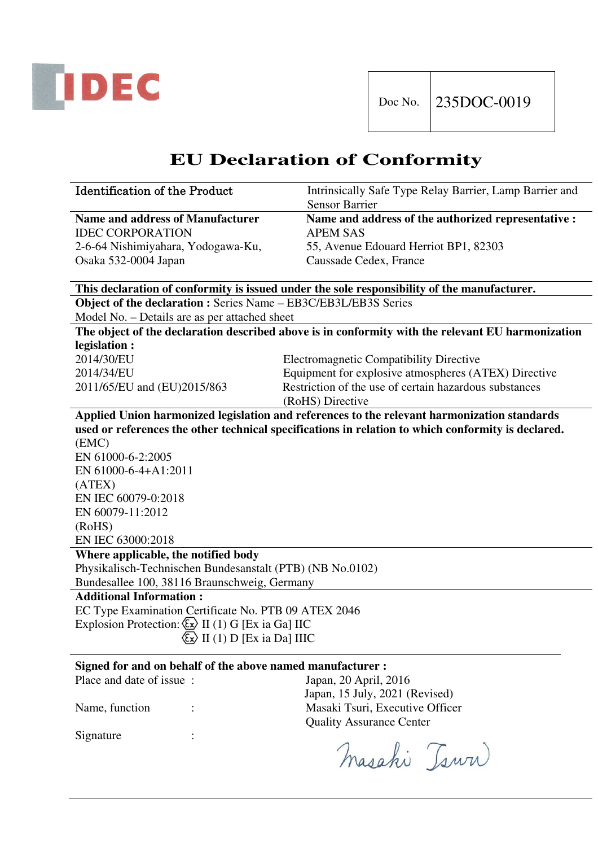

# **EU Declaration of Conformity**

| <b>Identification of the Product</b> | Intrinsically Safe Type Relay Barrier, Lamp Barrier and |
|--------------------------------------|---------------------------------------------------------|
|                                      | <b>Sensor Barrier</b>                                   |
| Name and address of Manufacturer     | Name and address of the authorized representative :     |
| <b>IDEC CORPORATION</b>              | APEM SAS                                                |
| 2-6-64 Nishimiyahara, Yodogawa-Ku,   | 55, Avenue Edouard Herriot BP1, 82303                   |
| Osaka 532-0004 Japan                 | Caussade Cedex, France                                  |
|                                      |                                                         |

#### **This declaration of conformity is issued under the sole responsibility of the manufacturer.**

**Object of the declaration :** Series Name – EB3C/EB3L/EB3S Series

Model No. – Details are as per attached sheet

**The object of the declaration described above is in conformity with the relevant EU harmonization legislation :** 

2014/30/EU Electromagnetic Compatibility Directive

2014/34/EU Equipment for explosive atmospheres (ATEX) Directive 2011/65/EU and (EU)2015/863 Restriction of the use of certain hazardous substances (RoHS) Directive

**Applied Union harmonized legislation and references to the relevant harmonization standards used or references the other technical specifications in relation to which conformity is declared.**  (EMC) EN 61000-6-2:2005 EN 61000-6-4+A1:2011 (ATEX) EN IEC 60079-0:2018 EN 60079-11:2012 (RoHS) EN IEC 63000:2018

**Where applicable, the notified body** 

Physikalisch-Technischen Bundesanstalt (PTB) (NB No.0102) Bundesallee 100, 38116 Braunschweig, Germany

**Additional Information :** 

EC Type Examination Certificate No. PTB 09 ATEX 2046 Explosion Protection:  $\overline{\mathbb{Q}}$  II (1) G [Ex ia Ga] IIC  $\langle x \rangle$  II (1) D [Ex ia Da] IIIC

#### **Signed for and on behalf of the above named manufacturer :**

Signature :

Place and date of issue : Japan, 20 April, 2016 Japan, 15 July, 2021 (Revised) Name, function : Masaki Tsuri, Executive Officer Quality Assurance Center

Masahi Tsww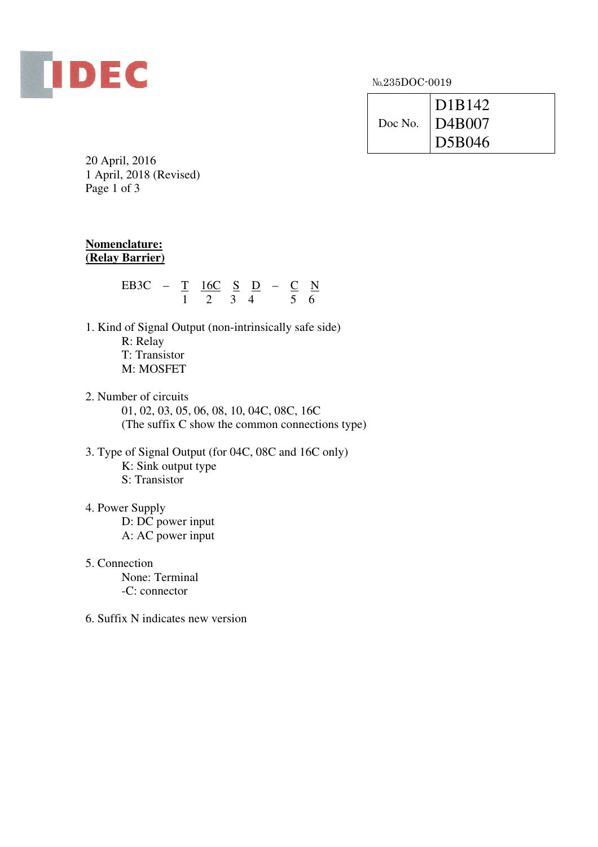

№235DOC-0019

| $\overline{D1B142}$<br>Doc No. $\vert$ D4B007 |
|-----------------------------------------------|
| $\overline{D5B046}$                           |

20 April, 2016 1 April, 2018 (Revised) Page 1 of 3

### **Nomenclature: (Relay Barrier)**

| ER3C | $\mathcal{L} = T$ | $16C$ S D – C |  |  |  |
|------|-------------------|---------------|--|--|--|
|      |                   |               |  |  |  |

- 1. Kind of Signal Output (non-intrinsically safe side) R: Relay T: Transistor M: MOSFET
- 2. Number of circuits

 01, 02, 03, 05, 06, 08, 10, 04C, 08C, 16C (The suffix C show the common connections type)

- 3. Type of Signal Output (for 04C, 08C and 16C only) K: Sink output type S: Transistor
- 4. Power Supply

 D: DC power input A: AC power input

5. Connection

 None: Terminal -C: connector

6. Suffix N indicates new version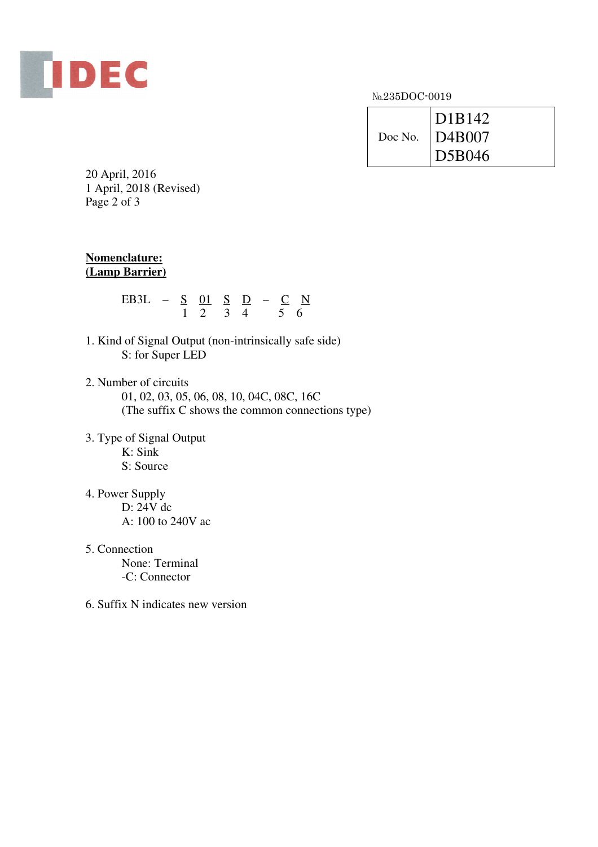

№235DOC-0019

| D <sub>1</sub> B <sub>142</sub> |
|---------------------------------|
| Doc No.   D4B007                |
| D5B046                          |

20 April, 2016 1 April, 2018 (Revised) Page 2 of 3

#### **Nomenclature: (Lamp Barrier)**

| EB3L $-$ S 01 S D $-$ C N |                         |  |  |  |
|---------------------------|-------------------------|--|--|--|
|                           | $1 \t2 \t3 \t4 \t5 \t6$ |  |  |  |

- 1. Kind of Signal Output (non-intrinsically safe side) S: for Super LED
- 2. Number of circuits 01, 02, 03, 05, 06, 08, 10, 04C, 08C, 16C (The suffix C shows the common connections type)
- 3. Type of Signal Output  $K:$  Sink S: Source
- 4. Power Supply D: 24V dc A: 100 to 240V ac
- 5. Connection

 None: Terminal -C: Connector

6. Suffix N indicates new version